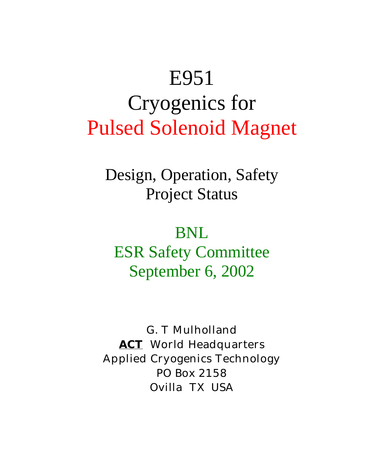# E951 Cryogenics for Pulsed Solenoid Magnet

Design, Operation, Safety Project Status

BNL ESR Safety Committee September 6, 2002

G. T Mulholland *ACT* World Headquarters Applied Cryogenics Technology PO Box 2158 Ovilla TX USA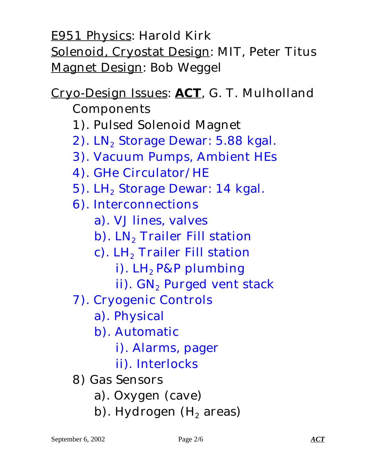E951 Physics: Harold Kirk Solenoid, Cryostat Design: MIT, Peter Titus Magnet Design: Bob Weggel

## Cryo-Design Issues: *ACT*, G. T. Mulholland

- Components
- 1). Pulsed Solenoid Magnet
- $2)$ . LN<sub>2</sub> Storage Dewar: 5.88 kgal.
- 3). Vacuum Pumps, Ambient HEs
- 4). GHe Circulator/HE
- 5). LH<sub>2</sub> Storage Dewar: 14 kgal.
- 6). Interconnections
	- a). VJ lines, valves
	- b). LN<sub>2</sub> Trailer Fill station
	- c). LH<sub>2</sub> Trailer Fill station
		- i).  $LH_2$  P&P plumbing
		- ii). GN<sub>2</sub> Purged vent stack
- 7). Cryogenic Controls
	- a). Physical
	- b). Automatic
		- i). Alarms, pager
		- ii). Interlocks
- 8) Gas Sensors
	- a). Oxygen (cave)
	- b). Hydrogen  $(H<sub>2</sub>$  areas)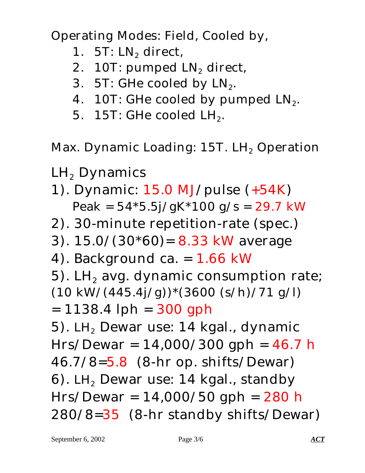Operating Modes: Field, Cooled by,

- 1. 5T:  $LN<sub>2</sub>$  direct,
- 2. 10T: pumped  $LN_2$  direct,
- 3. 5T: GHe cooled by  $LN_2$ .
- 4. 10T: GHe cooled by pumped  $LN_2$ .
- 5. 15T: GHe cooled  $LH_2$ .

Max. Dynamic Loading:  $15T$ . LH<sub>2</sub> Operation

- $\mathrm{LH}_2$  Dynamics
- 1). Dynamic: 15.0 MJ/pulse (+54K) Peak =  $54*5.5j/gK*100 g/s = 29.7 kW$
- 2). 30-minute repetition-rate (spec.)
- 3). 15.0/(30\*60)= 8.33 kW average
- 4). Background ca.  $= 1.66$  kW
- 5). LH<sub>2</sub> avg. dynamic consumption rate;  $(10 \text{ kW}/(445.4j/g))$ \* $(3600 \text{ (s/h)}/71 \text{ g/l})$
- $= 1138.4$  lph  $= 300$  gph

5). LH<sub>2</sub> Dewar use: 14 kgal., dynamic  $Hrs/Dewar = 14,000/300$  gph = 46.7 h 46.7/8=5.8 (8-hr op. shifts/Dewar) 6). LH<sub>2</sub> Dewar use: 14 kgal., standby  $Hrs/Dewar = 14,000/50$  gph = 280 h 280/8=35 (8-hr standby shifts/Dewar)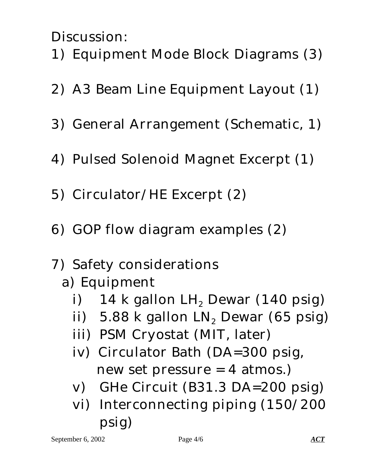Discussion:

- 1) Equipment Mode Block Diagrams (3)
- 2) A3 Beam Line Equipment Layout (1)
- 3) General Arrangement (Schematic, 1)
- 4) Pulsed Solenoid Magnet Excerpt (1)
- 5) Circulator/HE Excerpt (2)
- 6) GOP flow diagram examples (2)
- 7) Safety considerations
	- a) Equipment
		- i) 14 k gallon LH<sub>2</sub> Dewar (140 psig)
		- ii)  $5.88$  k gallon  $LN<sub>2</sub>$  Dewar (65 psig)
		- iii) PSM Cryostat (MIT, later)
		- iv) Circulator Bath (DA=300 psig, new set pressure = 4 atmos.)
		- v) GHe Circuit (B31.3 DA=200 psig)
		- vi) Interconnecting piping (150/200 psig)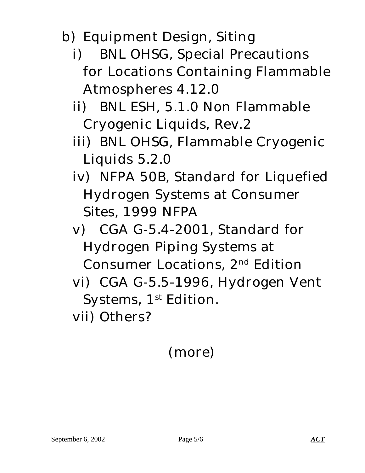- b) Equipment Design, Siting
	- i) BNL OHSG, Special Precautions for Locations Containing Flammable Atmospheres 4.12.0
	- ii) BNL ESH, 5.1.0 Non Flammable Cryogenic Liquids, Rev.2
	- iii) BNL OHSG, Flammable Cryogenic Liquids 5.2.0
	- iv) NFPA 50B, Standard for Liquefied Hydrogen Systems at Consumer Sites, 1999 NFPA
	- v) CGA G-5.4-2001, Standard for Hydrogen Piping Systems at Consumer Locations, 2nd Edition
	- vi) CGA G-5.5-1996, Hydrogen Vent Systems, 1<sup>st</sup> Edition.

vii) Others?

### (more)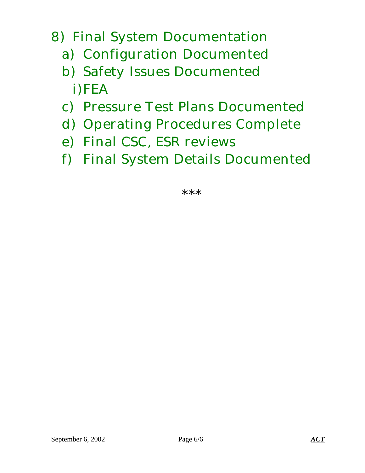#### 8) Final System Documentation

- a) Configuration Documented
- b) Safety Issues Documented i)FEA
- c) Pressure Test Plans Documented
- d) Operating Procedures Complete
- e) Final CSC, ESR reviews
- f) Final System Details Documented

\*\*\*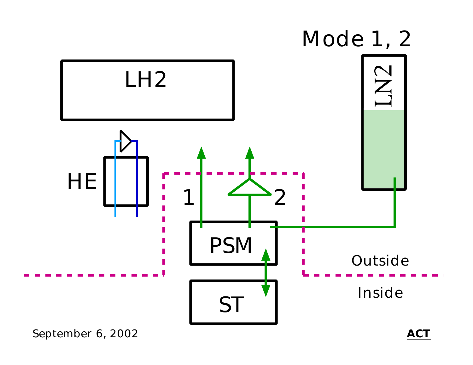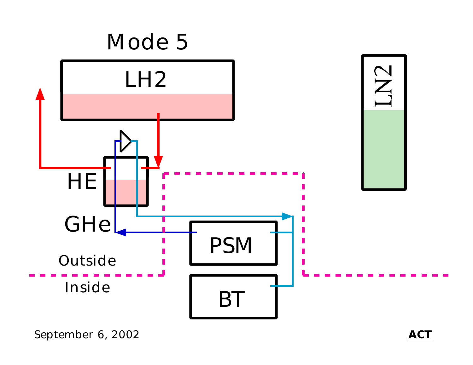

September 6, 2002 *ACT*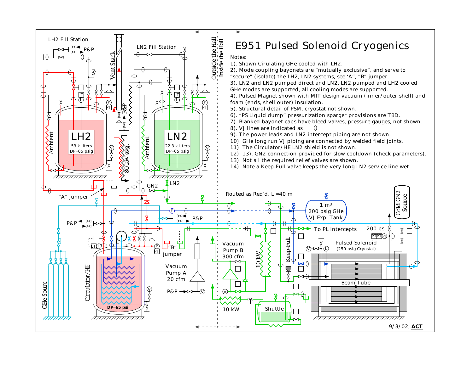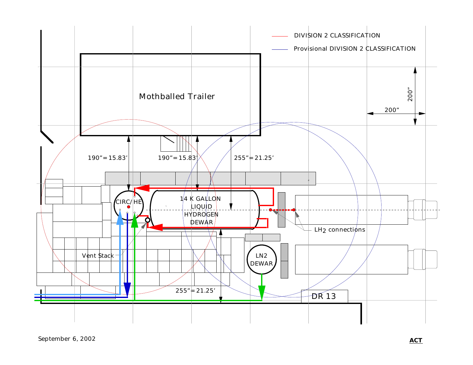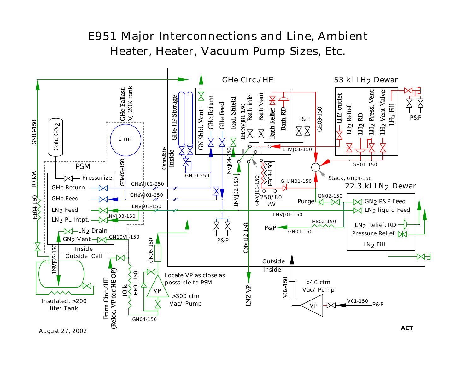#### E951 Major Interconnections and Line, Ambient Heater, Heater, Vacuum Pump Sizes, Etc.

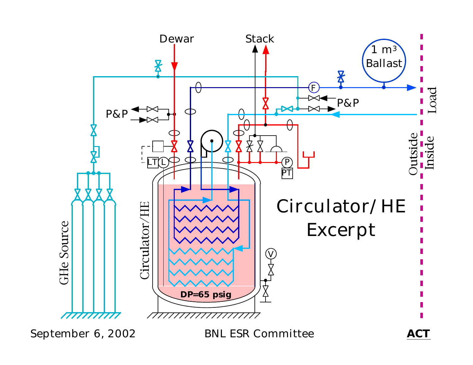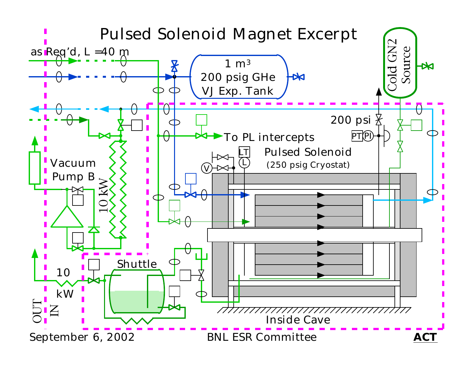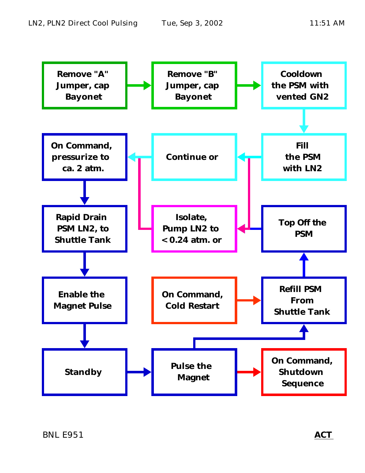